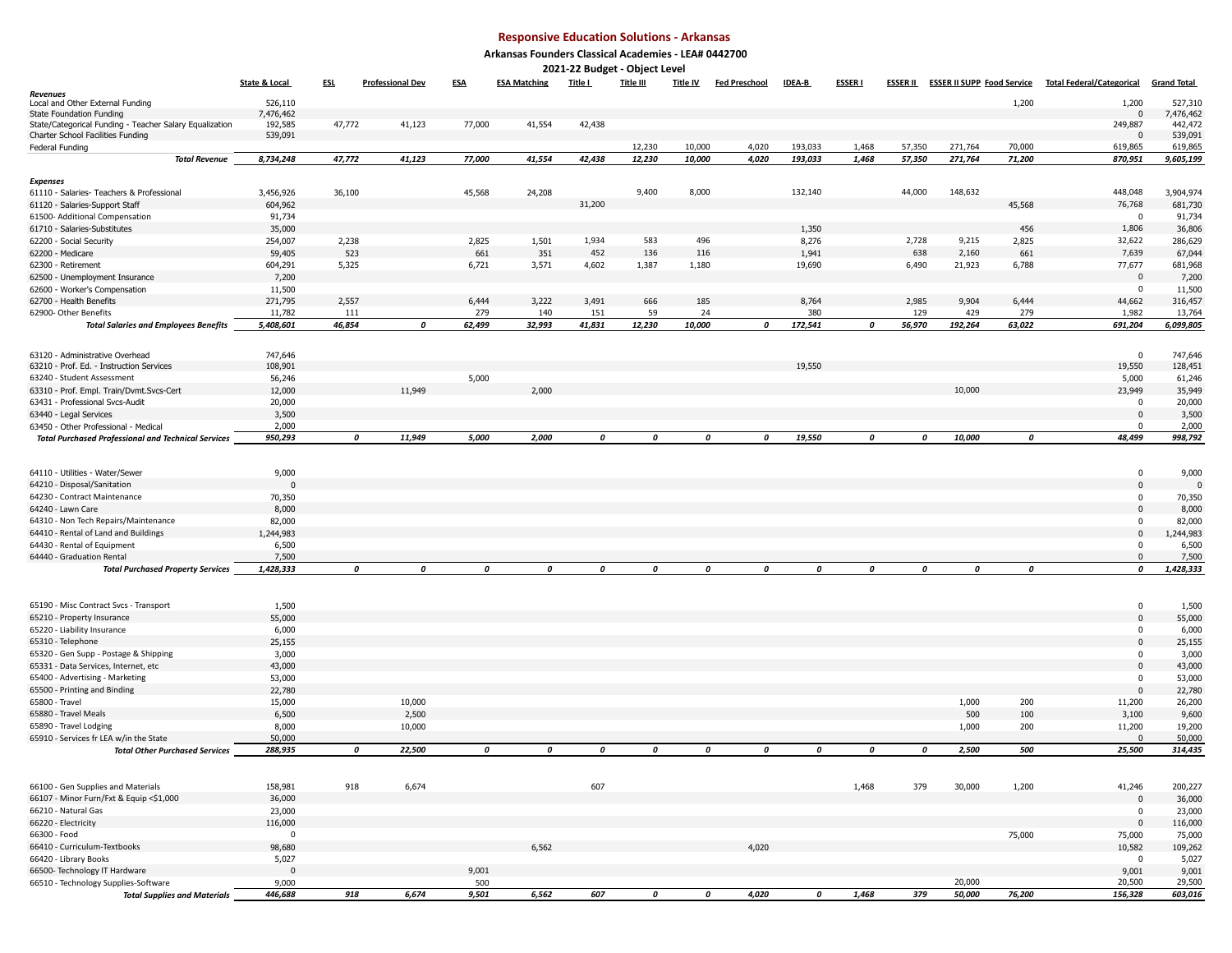## **Responsive Education Solutions - Arkansas**

**Arkansas Founders Classical Academies - LEA# 0442700**

| 2021-22 Budget - Object Level                              |                |        |                         |            |                     |         |           |                 |                      |               |              |                 |                                   |        |                                  |                    |
|------------------------------------------------------------|----------------|--------|-------------------------|------------|---------------------|---------|-----------|-----------------|----------------------|---------------|--------------|-----------------|-----------------------------------|--------|----------------------------------|--------------------|
|                                                            | State & Local  | ESL    | <b>Professional Dev</b> | <b>ESA</b> | <b>ESA Matching</b> | Title I | Title III | <b>Title IV</b> | <b>Fed Preschool</b> | <b>IDEA-B</b> | <b>ESSER</b> | <b>ESSER II</b> | <b>ESSER II SUPP Food Service</b> |        | <b>Total Federal/Categorical</b> | <b>Grand Total</b> |
| Revenues                                                   |                |        |                         |            |                     |         |           |                 |                      |               |              |                 |                                   |        |                                  |                    |
| Local and Other External Funding                           | 526,110        |        |                         |            |                     |         |           |                 |                      |               |              |                 |                                   | 1,200  | 1,200                            | 527,310            |
| <b>State Foundation Funding</b>                            | 7,476,462      |        |                         |            |                     |         |           |                 |                      |               |              |                 |                                   |        | $\bf{0}$                         | 7,476,462          |
| State/Categorical Funding - Teacher Salary Equalization    | 192,585        | 47,772 | 41,123                  | 77,000     | 41,554              | 42,438  |           |                 |                      |               |              |                 |                                   |        | 249,887<br>$\mathbf{0}$          | 442,472<br>539,091 |
| Charter School Facilities Funding                          | 539,091        |        |                         |            |                     |         | 12,230    | 10,000          | 4,020                | 193,033       | 1,468        | 57,350          | 271,764                           | 70,000 | 619,865                          | 619,865            |
| Federal Funding<br><b>Total Revenue</b>                    | 8,734,248      | 47,772 | 41,123                  | 77,000     | 41,554              | 42,438  | 12,230    | 10,000          | 4,020                | 193,033       | 1,468        | 57,350          | 271,764                           | 71,200 | 870,951                          | 9,605,199          |
|                                                            |                |        |                         |            |                     |         |           |                 |                      |               |              |                 |                                   |        |                                  |                    |
| <b>Expenses</b>                                            |                |        |                         |            |                     |         |           |                 |                      |               |              |                 |                                   |        |                                  |                    |
| 61110 - Salaries- Teachers & Professional                  | 3,456,926      | 36,100 |                         | 45,568     | 24,208              |         | 9,400     | 8,000           |                      | 132,140       |              | 44,000          | 148,632                           |        | 448,048                          | 3,904,974          |
| 61120 - Salaries-Support Staff                             | 604,962        |        |                         |            |                     | 31,200  |           |                 |                      |               |              |                 |                                   | 45,568 | 76,768                           | 681,730            |
| 61500- Additional Compensation                             | 91,734         |        |                         |            |                     |         |           |                 |                      |               |              |                 |                                   |        | 0                                | 91,734             |
| 61710 - Salaries-Substitutes                               | 35,000         |        |                         |            |                     |         |           |                 |                      | 1,350         |              |                 |                                   | 456    | 1,806                            | 36,806             |
| 62200 - Social Security                                    | 254,007        | 2,238  |                         | 2,825      | 1,501               | 1,934   | 583       | 496             |                      | 8,276         |              | 2,728           | 9,215                             | 2,825  | 32,622                           | 286,629            |
| 62200 - Medicare                                           | 59,405         | 523    |                         | 661        | 351                 | 452     | 136       | 116             |                      | 1,941         |              | 638             | 2,160                             | 661    | 7,639                            | 67,044             |
| 62300 - Retirement                                         | 604,291        | 5,325  |                         | 6,721      | 3,571               | 4,602   | 1,387     | 1,180           |                      | 19,690        |              | 6,490           | 21,923                            | 6,788  | 77,677                           | 681,968            |
| 62500 - Unemployment Insurance                             | 7,200          |        |                         |            |                     |         |           |                 |                      |               |              |                 |                                   |        | $\mathbf 0$                      | 7,200              |
| 62600 - Worker's Compensation                              | 11,500         |        |                         |            |                     |         |           |                 |                      |               |              |                 |                                   |        | $\mathbf 0$                      | 11,500             |
| 62700 - Health Benefits                                    | 271,795        | 2,557  |                         | 6,444      | 3,222               | 3,491   | 666       | 185             |                      | 8,764         |              | 2,985           | 9,904                             | 6,444  | 44,662                           | 316,457            |
| 62900- Other Benefits                                      | 11,782         | 111    |                         | 279        | 140                 | 151     | 59        | 24              |                      | 380           |              | 129             | 429                               | 279    | 1,982                            | 13,764             |
| <b>Total Salaries and Employees Benefits</b>               | 5,408,601      | 46,854 | 0                       | 62,499     | 32,993              | 41,831  | 12,230    | 10,000          | 0                    | 172,541       | 0            | 56,970          | 192,264                           | 63,022 | 691,204                          | 6,099,805          |
|                                                            |                |        |                         |            |                     |         |           |                 |                      |               |              |                 |                                   |        |                                  |                    |
| 63120 - Administrative Overhead                            | 747,646        |        |                         |            |                     |         |           |                 |                      |               |              |                 |                                   |        | $\mathbf{0}$                     | 747,646            |
| 63210 - Prof. Ed. - Instruction Services                   | 108,901        |        |                         |            |                     |         |           |                 |                      | 19,550        |              |                 |                                   |        | 19,550                           | 128,451            |
| 63240 - Student Assessment                                 | 56,246         |        |                         | 5,000      |                     |         |           |                 |                      |               |              |                 |                                   |        | 5,000                            | 61,246             |
| 63310 - Prof. Empl. Train/Dvmt.Svcs-Cert                   | 12,000         |        | 11,949                  |            | 2,000               |         |           |                 |                      |               |              |                 | 10,000                            |        | 23,949                           | 35,949             |
| 63431 - Professional Svcs-Audit                            | 20,000         |        |                         |            |                     |         |           |                 |                      |               |              |                 |                                   |        | $\mathbf 0$                      | 20,000             |
| 63440 - Legal Services                                     | 3,500          |        |                         |            |                     |         |           |                 |                      |               |              |                 |                                   |        | $\mathbf{0}$                     | 3,500              |
| 63450 - Other Professional - Medical                       | 2,000          |        |                         |            |                     |         |           |                 |                      |               |              |                 |                                   |        | $\Omega$                         | 2,000              |
| <b>Total Purchased Professional and Technical Services</b> | 950,293        |        | 0<br>11,949             | 5,000      | 2,000               | 0       | 0         | 0               | 0                    | 19,550        | 0            |                 | 0<br>10,000                       | 0      | 48,499                           | 998,792            |
|                                                            |                |        |                         |            |                     |         |           |                 |                      |               |              |                 |                                   |        |                                  |                    |
|                                                            |                |        |                         |            |                     |         |           |                 |                      |               |              |                 |                                   |        |                                  |                    |
| 64110 - Utilities - Water/Sewer                            | 9,000          |        |                         |            |                     |         |           |                 |                      |               |              |                 |                                   |        | $\bf{0}$                         | 9,000              |
| 64210 - Disposal/Sanitation                                |                |        |                         |            |                     |         |           |                 |                      |               |              |                 |                                   |        | $\pmb{0}$                        | $\Omega$           |
| 64230 - Contract Maintenance                               | 70,350         |        |                         |            |                     |         |           |                 |                      |               |              |                 |                                   |        | $\mathbf 0$                      | 70,350             |
| 64240 - Lawn Care                                          | 8,000          |        |                         |            |                     |         |           |                 |                      |               |              |                 |                                   |        | $\pmb{0}$                        | 8,000              |
| 64310 - Non Tech Repairs/Maintenance                       | 82,000         |        |                         |            |                     |         |           |                 |                      |               |              |                 |                                   |        | $\mathbf 0$                      | 82,000             |
| 64410 - Rental of Land and Buildings                       | 1,244,983      |        |                         |            |                     |         |           |                 |                      |               |              |                 |                                   |        | $\bf{0}$                         | 1,244,983          |
| 64430 - Rental of Equipment                                | 6,500          |        |                         |            |                     |         |           |                 |                      |               |              |                 |                                   |        | $\mathbf 0$                      | 6,500              |
| 64440 - Graduation Rental                                  | 7,500          |        |                         |            |                     |         |           |                 |                      |               |              |                 |                                   |        | $\mathbf{0}$                     | 7,500              |
| <b>Total Purchased Property Services</b>                   | 1,428,333      |        | 0<br>0                  | 0          | 0                   | 0       | 0         | 0               | $\boldsymbol{o}$     | 0             | 0            |                 | 0<br>0                            | 0      | 0                                | 1,428,333          |
|                                                            |                |        |                         |            |                     |         |           |                 |                      |               |              |                 |                                   |        |                                  |                    |
|                                                            |                |        |                         |            |                     |         |           |                 |                      |               |              |                 |                                   |        |                                  |                    |
| 65190 - Misc Contract Svcs - Transport                     | 1,500          |        |                         |            |                     |         |           |                 |                      |               |              |                 |                                   |        | $\mathbf 0$                      | 1,500              |
| 65210 - Property Insurance                                 | 55,000         |        |                         |            |                     |         |           |                 |                      |               |              |                 |                                   |        | $\bf{0}$                         | 55,000             |
| 65220 - Liability Insurance                                | 6,000          |        |                         |            |                     |         |           |                 |                      |               |              |                 |                                   |        | $\bf{0}$                         | 6,000              |
| 65310 - Telephone                                          | 25,155         |        |                         |            |                     |         |           |                 |                      |               |              |                 |                                   |        | $\pmb{0}$                        | 25,155             |
| 65320 - Gen Supp - Postage & Shipping                      | 3,000          |        |                         |            |                     |         |           |                 |                      |               |              |                 |                                   |        | $\mathbf 0$                      | 3,000              |
| 65331 - Data Services, Internet, etc                       | 43,000         |        |                         |            |                     |         |           |                 |                      |               |              |                 |                                   |        | $\mathbf 0$                      | 43,000             |
| 65400 - Advertising - Marketing                            | 53,000         |        |                         |            |                     |         |           |                 |                      |               |              |                 |                                   |        | $\mathbf 0$                      | 53,000             |
| 65500 - Printing and Binding                               | 22,780         |        |                         |            |                     |         |           |                 |                      |               |              |                 |                                   |        | $\mathbf{0}$                     | 22,780             |
| 65800 - Travel                                             | 15,000         |        | 10,000                  |            |                     |         |           |                 |                      |               |              |                 | 1,000                             | 200    | 11,200                           | 26,200             |
| 65880 - Travel Meals                                       | 6,500          |        | 2,500                   |            |                     |         |           |                 |                      |               |              |                 | 500                               | 100    | 3,100                            | 9,600              |
| 65890 - Travel Lodging                                     | 8,000          |        | 10,000                  |            |                     |         |           |                 |                      |               |              |                 | 1,000                             | 200    | 11,200                           | 19,200             |
| 65910 - Services fr LEA w/in the State                     | 50,000         |        |                         |            |                     |         |           |                 |                      |               |              |                 |                                   |        | $\Omega$                         | 50,000             |
| <b>Total Other Purchased Services</b>                      | 288,935        |        | 0<br>22,500             | 0          | 0                   | 0       | 0         | 0               | 0                    | 0             | 0            | 0               | 2,500                             | 500    | 25,500                           | 314,435            |
|                                                            |                |        |                         |            |                     |         |           |                 |                      |               |              |                 |                                   |        |                                  |                    |
|                                                            |                |        |                         |            |                     |         |           |                 |                      |               |              |                 |                                   |        |                                  |                    |
| 66100 - Gen Supplies and Materials                         | 158,981        | 918    | 6,674                   |            |                     | 607     |           |                 |                      |               | 1,468        | 379             | 30,000                            | 1,200  | 41,246                           | 200,227            |
| 66107 - Minor Furn/Fxt & Equip <\$1,000                    | 36,000         |        |                         |            |                     |         |           |                 |                      |               |              |                 |                                   |        | $\mathbf{0}$                     | 36,000             |
| 66210 - Natural Gas                                        | 23,000         |        |                         |            |                     |         |           |                 |                      |               |              |                 |                                   |        | $\mathbf 0$                      | 23,000             |
| 66220 - Electricity                                        | 116,000        |        |                         |            |                     |         |           |                 |                      |               |              |                 |                                   |        | $\bf{0}$                         | 116,000            |
| 66300 - Food                                               | $\overline{0}$ |        |                         |            |                     |         |           |                 |                      |               |              |                 |                                   | 75,000 | 75,000                           | 75,000             |
| 66410 - Curriculum-Textbooks                               | 98,680         |        |                         |            | 6,562               |         |           |                 | 4,020                |               |              |                 |                                   |        | 10,582                           | 109,262            |
| 66420 - Library Books                                      | 5,027          |        |                         |            |                     |         |           |                 |                      |               |              |                 |                                   |        | $\mathbf 0$                      | 5,027              |
| 66500- Technology IT Hardware                              | $\mathbf 0$    |        |                         | 9,001      |                     |         |           |                 |                      |               |              |                 |                                   |        | 9,001                            | 9,001              |
| 66510 - Technology Supplies-Software                       | 9,000          |        |                         | 500        |                     |         |           |                 |                      |               |              |                 | 20,000                            |        | 20,500                           | 29,500             |

Total Supplies and Materials 446,688 918 6,674 9,501 6,562 607 0 0 4,020 0 1,468 379 50,000 76,200 156,328 603,016